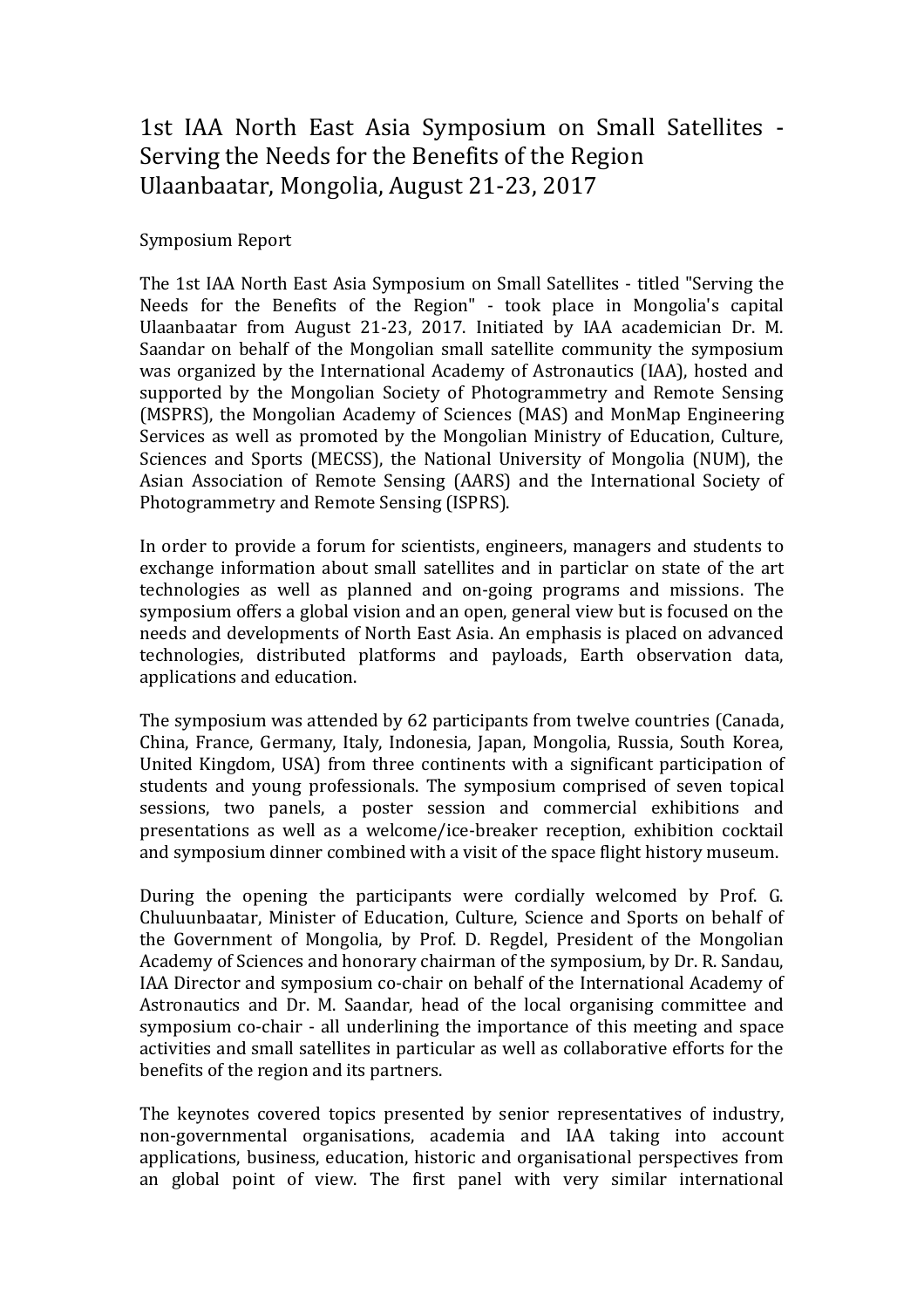## 1st IAA North East Asia Symposium on Small Satellites - Serving the Needs for the Benefits of the Region Ulaanbaatar, Mongolia, August 21-23, 2017

## Symposium Report

The 1st IAA North East Asia Symposium on Small Satellites - titled "Serving the Needs for the Benefits of the Region" - took place in Mongolia's capital Ulaanbaatar from August 21-23, 2017. Initiated by IAA academician Dr. M. Saandar on behalf of the Mongolian small satellite community the symposium was organized by the International Academy of Astronautics (IAA), hosted and supported by the Mongolian Society of Photogrammetry and Remote Sensing (MSPRS), the Mongolian Academy of Sciences (MAS) and MonMap Engineering Services as well as promoted by the Mongolian Ministry of Education, Culture, Sciences and Sports (MECSS), the National University of Mongolia (NUM), the Asian Association of Remote Sensing (AARS) and the International Society of Photogrammetry and Remote Sensing (ISPRS).

In order to provide a forum for scientists, engineers, managers and students to exchange information about small satellites and in particlar on state of the art technologies as well as planned and on-going programs and missions. The symposium offers a global vision and an open, general view but is focused on the needs and developments of North East Asia. An emphasis is placed on advanced technologies, distributed platforms and payloads, Earth observation data, applications and education.

The symposium was attended by 62 participants from twelve countries (Canada, China, France, Germany, Italy, Indonesia, Japan, Mongolia, Russia, South Korea, United Kingdom, USA) from three continents with a significant participation of students and young professionals. The symposium comprised of seven topical sessions, two panels, a poster session and commercial exhibitions and presentations as well as a welcome/ice-breaker reception, exhibition cocktail and symposium dinner combined with a visit of the space flight history museum.

During the opening the participants were cordially welcomed by Prof. G. Chuluunbaatar, Minister of Education, Culture, Science and Sports on behalf of the Government of Mongolia, by Prof. D. Regdel, President of the Mongolian Academy of Sciences and honorary chairman of the symposium, by Dr. R. Sandau, IAA Director and symposium co-chair on behalf of the International Academy of Astronautics and Dr. M. Saandar, head of the local organising committee and symposium co-chair - all underlining the importance of this meeting and space activities and small satellites in particular as well as collaborative efforts for the benefits of the region and its partners.

The keynotes covered topics presented by senior representatives of industry, non-governmental organisations, academia and IAA taking into account applications, business, education, historic and organisational perspectives from an global point of view. The first panel with very similar international